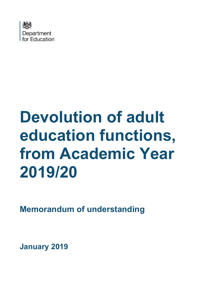

# **Devolution of adult education functions, from Academic Year 2019/20**

**Memorandum of understanding**

**January 2019**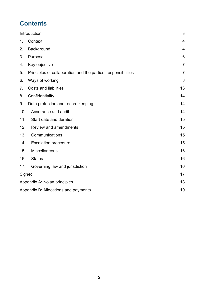# **Contents**

| Introduction                         |                                                               | 3              |
|--------------------------------------|---------------------------------------------------------------|----------------|
| 1.                                   | Context                                                       | 4              |
| 2.                                   | Background                                                    | 4              |
| 3.                                   | Purpose                                                       | 6              |
| 4.                                   | Key objective                                                 | $\overline{7}$ |
| 5.                                   | Principles of collaboration and the parties' responsibilities | $\overline{7}$ |
| 6.                                   | Ways of working                                               | 8              |
| 7 <sub>1</sub>                       | <b>Costs and liabilities</b>                                  | 13             |
| 8.                                   | Confidentiality                                               | 14             |
| 9.                                   | Data protection and record keeping                            | 14             |
| 10.                                  | Assurance and audit                                           | 14             |
| 11.                                  | Start date and duration                                       | 15             |
| 12.                                  | <b>Review and amendments</b>                                  | 15             |
| 13.                                  | Communications                                                | 15             |
| 14.                                  | <b>Escalation procedure</b>                                   | 15             |
| 15.                                  | Miscellaneous                                                 | 16             |
| 16.                                  | <b>Status</b>                                                 | 16             |
| 17.                                  | Governing law and jurisdiction                                | 16             |
| Signed                               |                                                               | 17             |
| Appendix A: Nolan principles         |                                                               | 18             |
| Appendix B: Allocations and payments |                                                               |                |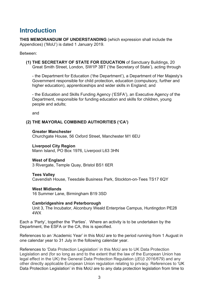### <span id="page-2-0"></span>**Introduction**

**THIS MEMORANDUM OF UNDERSTANDING** (which expression shall include the Appendices) ('MoU') is dated 1 January 2019.

Between:

**(1) THE SECRETARY OF STATE FOR EDUCATION** of Sanctuary Buildings, 20 Great Smith Street, London, SW1P 3BT ('the Secretary of State'), acting through

- the Department for Education ('the Department'), a Department of Her Majesty's Government responsible for child protection, education (compulsory, further and higher education), apprenticeships and wider skills in England; and

- the Education and Skills Funding Agency ('ESFA'), an Executive Agency of the Department, responsible for funding education and skills for children, young people and adults;

and

#### **(2) THE MAYORAL COMBINED AUTHORITIES ('CA')**

#### **Greater Manchester**

Churchgate House, 56 Oxford Street, Manchester M1 6EU

#### **Liverpool City Region**

Mann Island, PO Box 1976, Liverpool L63 3HN

#### **West of England**

3 Rivergate, Temple Quay, Bristol BS1 6ER

#### **Tees Valley**

Cavendish House, Teesdale Business Park, Stockton-on-Tees TS17 6QY

#### **West Midlands**

16 Summer Lane, Birmingham B19 3SD

#### **Cambridgeshire and Peterborough**

Unit 3, The Incubator, Alconbury Weald Enterprise Campus, Huntingdon PE28 4WX

Each a 'Party', together the 'Parties'. Where an activity is to be undertaken by the Department, the ESFA or the CA, this is specified.

References to an 'Academic Year' in this MoU are to the period running from 1 August in one calendar year to 31 July in the following calendar year.

References to 'Data Protection Legislation' in this MoU are to UK Data Protection Legislation and (for so long as and to the extent that the law of the European Union has legal effect in the UK) the General Data Protection Regulation (*(EU) 2016/679*) and any other directly applicable European Union regulation relating to privacy. References to 'UK Data Protection Legislation' in this MoU are to any data protection legislation from time to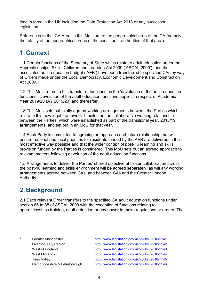time in force in the UK including the Data Protection Act 2018 or any successor legislation.

References to the 'CA Area' in this MoU are to the geographical area of the CA (namely the totality of the geographical areas of the constituent authorities of that area).

# <span id="page-3-0"></span>**1. Context**

1.1 Certain functions of the Secretary of State which relate to adult education under the Apprenticeships, Skills, Children and Learning Act 2009 ('ASCAL 2009'), and the associated adult education budget ('AEB') have been transferred to specified CAs by way of Orders made under the Local Democracy, Economic Development and Construction Act 2009. [1](#page-3-2)

1.2 This MoU refers to this transfer of functions as the 'devolution of the adult education functions'. Devolution of the adult education functions applies in respect of Academic Year 2019/20 (AY 2019/20) and thereafter.

1.3 This MoU sets out jointly agreed working arrangements between the Parties which relate to this new legal framework. It builds on the collaborative working relationship between the Parties, which were established as part of the transitional year, 2018/19 arrangements, and set out in an MoU for that year.

1.4 Each Party is committed to agreeing an approach and future relationship that will ensure national and local priorities for residents funded by the AEB are delivered in the most effective way possible and that the wider context of post-16 learning and skills provision funded by the Parties is considered. This MoU sets out an agreed approach to relevant matters following devolution of the adult education functions.

1.5 Arrangements to deliver the Parties' shared objective of closer collaboration across the post-16 learning and skills environment will be agreed separately, as will any working arrangements agreed between CAs, and between CAs and the Greater London Authority.

# <span id="page-3-1"></span>**2. Background**

 $\overline{a}$ 

2.1 Each relevant Order transfers to the specified CA adult education functions under section 86 to 88 of ASCAL 2009 with the exception of functions relating to apprenticeships training, adult detention or any power to make regulations or orders. The

<span id="page-3-2"></span>1 Greater Manchester <http://www.legislation.gov.uk/id/uksi/2018/1141> Liverpool City Region <http://www.legislation.gov.uk/id/uksi/2018/1142> West of England <http://www.legislation.gov.uk/id/uksi/2018/1143> West Midlands <http://www.legislation.gov.uk/id/uksi/2018/1144> Tees Valley <http://www.legislation.gov.uk/id/uksi/2018/1145> Cambridgeshire & Peterborough <http://www.legislation.gov.uk/id/uksi/2018/1146>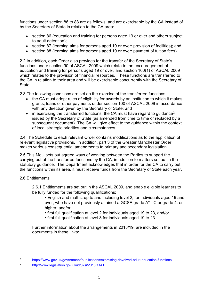functions under section 86 to 88 are as follows, and are exercisable by the CA instead of by the Secretary of State in relation to the CA area:

- section 86 (education and training for persons aged 19 or over and others subject to adult detention);
- section 87 (learning aims for persons aged 19 or over: provision of facilities); and
- section 88 (learning aims for persons aged 19 or over: payment of tuition fees).

2.2 In addition, each Order also provides for the transfer of the Secretary of State's functions under section 90 of ASCAL 2009 which relate to the encouragement of education and training for persons aged 19 or over, and section 100(1) of ASCAL 2009 which relates to the provision of financial resources. These functions are transferred to the CA in relation to their area and will be exercisable concurrently with the Secretary of **State** 

2.3 The following conditions are set on the exercise of the transferred functions:

- the CA must adopt rules of eligibility for awards by an institution to which it makes grants, loans or other payments under section 100 of ASCAL 2009 in accordance with any direction given by the Secretary of State; and
- in exercising the transferred functions, the CA must have regard to quidance<sup>[2](#page-4-0)</sup> issued by the Secretary of State (as amended from time to time or replaced by a subsequent document). The CA will give effect to the guidance within the context of local strategic priorities and circumstances.

2.4 The Schedule to each relevant Order contains modifications as to the application of relevant legislative provisions. In addition, part 3 of the Greater Manchester Order makes various consequential amendments to primary and secondary legislation.<sup>[3](#page-4-1)</sup>

2.5 This MoU sets out agreed ways of working between the Parties to support the carrying out of the transferred functions by the CA, in addition to matters set out in the statutory guidance. The Department acknowledges that in order for the CA to carry out the functions within its area, it must receive funds from the Secretary of State each year.

#### 2.6 Entitlements

 $\overline{a}$ 

2.6.1 Entitlements are set out in the ASCAL 2009, and enable eligible learners to be fully funded for the following qualifications:

- English and maths, up to and including level 2, for individuals aged 19 and over, who have not previously attained a GCSE grade A\* - C or grade 4, or higher; and/or
- first full qualification at level 2 for individuals aged 19 to 23, and/or
- first full qualification at level 3 for individuals aged 19 to 23.

Further information about the arrangements in 2018/19, are included in the documents in these links:

<span id="page-4-0"></span><sup>2</sup> <https://www.gov.uk/government/publications/exercising-devolved-adult-education-functions>

<span id="page-4-1"></span><sup>3</sup> <http://www.legislation.gov.uk/id/uksi/2018/1141>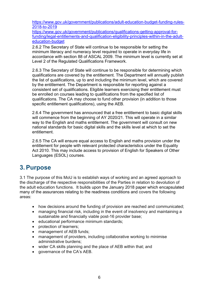[https://www.gov.uk/government/publications/adult-education-budget-funding-rules-](https://www.gov.uk/government/publications/adult-education-budget-funding-rules-2018-to-2019)[2018-to-2019](https://www.gov.uk/government/publications/adult-education-budget-funding-rules-2018-to-2019)

[https://www.gov.uk/government/publications/qualifications-getting-approval-for](https://www.gov.uk/government/publications/qualifications-getting-approval-for-funding/legal-entitlements-and-qualification-eligibility-principles-within-in-the-adult-education-budget)[funding/legal-entitlements-and-qualification-eligibility-principles-within-in-the-adult](https://www.gov.uk/government/publications/qualifications-getting-approval-for-funding/legal-entitlements-and-qualification-eligibility-principles-within-in-the-adult-education-budget)[education-budget](https://www.gov.uk/government/publications/qualifications-getting-approval-for-funding/legal-entitlements-and-qualification-eligibility-principles-within-in-the-adult-education-budget)

2.6.2 The Secretary of State will continue to be responsible for setting the minimum literacy and numeracy level required to operate in everyday life in accordance with section 88 of ASCAL 2009. The minimum level is currently set at Level 2 of the Regulated Qualifications Framework.

2.6.3 The Secretary of State will continue to be responsible for determining which qualifications are covered by the entitlement. The Department will annually publish the list of qualifications, up to and including the minimum level, which are covered by the entitlement. The Department is responsible for reporting against a consistent set of qualifications. Eligible learners exercising their entitlement must be enrolled on courses leading to qualifications from the specified list of qualifications. The CA may choose to fund other provision (in addition to those specific entitlement qualifications), using the AEB.

2.6.4 The government has announced that a free entitlement to basic digital skills will commence from the beginning of AY 2020/21. This will operate in a similar way to the English and maths entitlement. The government will consult on new national standards for basic digital skills and the skills level at which to set the entitlement.

2.6.5 The CA will ensure equal access to English and maths provision under the entitlement for people with relevant protected characteristics under the Equality Act 2010. This may include access to provision of English for Speakers of Other Languages (ESOL) courses.

### <span id="page-5-0"></span>**3.Purpose**

3.1 The purpose of this MoU is to establish ways of working and an agreed approach to the discharge of the respective responsibilities of the Parties in relation to devolution of the adult education functions. It builds upon the January 2018 paper which encapsulated many of the assurances relating to the readiness conditions and covers the following areas:

- how decisions around the funding of provision are reached and communicated;
- managing financial risk, including in the event of insolvency and maintaining a sustainable and financially viable post-16 provider base;
- educational performance minimum standards;
- protection of learners;
- management of AEB funds;
- management of providers, including collaborative working to minimise administrative burdens;
- wider CA skills planning and the place of AEB within that; and
- governance of the CA's AEB.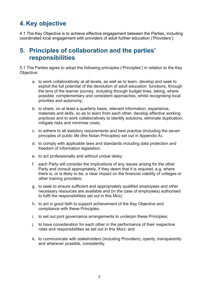# <span id="page-6-0"></span>**4. Key objective**

4.1 The Key Objective is to achieve effective engagement between the Parties, including coordinated local engagement with providers of adult further education ('Providers').

### <span id="page-6-1"></span>**5. Principles of collaboration and the parties' responsibilities**

5.1 The Parties agree to adopt the following principles ('Principles') in relation to the Key Objective:

- a. to work collaboratively at all levels, as well as to learn, develop and seek to exploit the full potential of the devolution of adult education functions, through the lens of the learner journey, including through budget lines, taking, where possible, complementary and consistent approaches, whilst recognising local priorities and autonomy;
- b. to share, on at least a quarterly basis, relevant information, experience, materials and skills, so as to learn from each other, develop effective working practices and to work collaboratively to identify solutions, eliminate duplication, mitigate risks and minimise costs;
- c. to adhere to all statutory requirements and best practice (including the seven principles of public life (the Nolan Principles) set out in Appendix A).
- d. to comply with applicable laws and standards including data protection and freedom of information legislation;
- e. to act professionally and without undue delay;
- f. each Party will consider the implications of any issues arising for the other Party and consult appropriately, if they deem that it is required, e.g. where there is, or is likely to be, a clear impact on the financial viability of colleges or other training providers;
- g. to seek to ensure sufficient and appropriately qualified employees and other necessary resources are available and (in the case of employees) authorised to fulfil the responsibilities set out in this MoU;
- h. to act in good faith to support achievement of the Key Objective and compliance with these Principles;
- i. to set out joint governance arrangements to underpin these Principles;
- j. to have consideration for each other in the performance of their respective roles and responsibilities as set out in this MoU; and
- k. to communicate with stakeholders (including Providers), openly, transparently and wherever possible, consistently.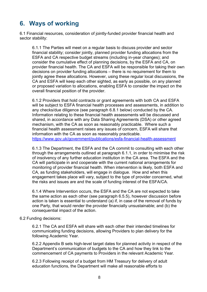### <span id="page-7-0"></span>**6. Ways of working**

6.1 Financial resources, consideration of jointly-funded provider financial health and sector stability:

6.1.1 The Parties will meet on a regular basis to discuss provider and sector financial stability; consider jointly, planned provider funding allocations from the ESFA and CA respective budget streams (including in-year changes); and consider the cumulative effect of planning decisions, by the ESFA and CA, on provider financial health. The CA and ESFA will be responsible for taking their own decisions on provider funding allocations – there is no requirement for them to jointly agree these allocations. However, using these regular local discussions, the CA and ESFA will keep each other sighted, as early as possible, on any planned or proposed variation to allocations, enabling ESFA to consider the impact on the overall financial position of the provider.

6.1.2 Providers that hold contracts or grant agreements with both CA and ESFA will be subject to ESFA financial health processes and assessments, in addition to any checks/due diligence (see paragraph 6.8.1 below) conducted by the CA. Information relating to these financial health assessments will be discussed and shared, in accordance with any Data Sharing Agreements (DSA) or other agreed mechanism, with the CA as soon as reasonably practicable. Where such a financial health assessment raises any issues of concern, ESFA will share that information with the CA as soon as reasonably practicable. <https://www.gov.uk/government/publications/esfa-financial-health-assessment>

6.1.3 The Department, the ESFA and the CA commit to consulting with each other through the arrangements outlined at paragraph 6.1.1, in order to minimise the risk of insolvency of any further education institution in the CA area. The ESFA and the CA will participate in and cooperate with the current national arrangements for monitoring of provider financial health. When intervention is likely, both ESFA and CA, as funding stakeholders, will engage in dialogue. How and when this engagement takes place will vary, subject to the type of provider concerned, what the risks and issues are and the scale of funding interest of the ESFA/CA.

6.1.4 Where Intervention occurs, the ESFA and the CA are not expected to take the same action as each other (see paragraph 6.5.5), however discussion before action is taken is essential to understand (a) if, in case of the removal of funds by one Party, that would render the provider financially unsustainable; and (b) the consequential impact of the action.

#### 6.2 Funding decisions:

6.2.1 The CA and ESFA will share with each other their intended timelines for communicating funding decisions, allowing Providers to plan delivery for the following Academic Year.

6.2.2 Appendix B sets high-level target dates for planned activity in respect of the Department's communication of budgets to the CA and how they link to the commencement of CA payments to Providers in the relevant Academic Year.

6.2.3 Following receipt of a budget from HM Treasury for delivery of adult education functions, the Department will make all reasonable efforts to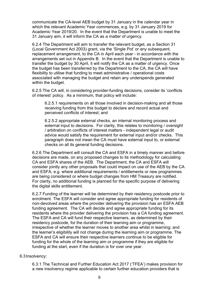communicate the CA-level AEB budget by 31 January in the calendar year in which the relevant Academic Year commences, e.g. by 31 January 2019 for Academic Year 2019/20. In the event that the Department is unable to meet the 31 January aim, it will inform the CA as a matter of urgency.

6.2.4 The Department will aim to transfer the relevant budget, as a Section 31 (Local Government Act 2003) grant, via the 'Single Pot' or any subsequent, replacement arrangement, to the CA in April each year - in accordance with the arrangements set out in Appendix B. In the event that the Department is unable to transfer the budget by 30 April, it will notify the CA as a matter of urgency. Once the budget has been transferred by the Department to the CA, the CA will have flexibility to utilise that funding to meet administrative / operational costs associated with managing the budget and retain any underspends generated within the budget.

6.2.5 The CA will, in considering provider-funding decisions, consider its 'conflicts of interest' policy. As a minimum, that policy will include:

6.2.5.1 requirements on all those involved in decision-making and all those receiving funding from this budget to declare and record actual and perceived conflicts of interest; and

6.2.5.2 appropriate external checks, an internal monitoring process and external input to decisions. For clarity, this relates to monitoring / oversight / arbitration on conflicts of interest matters - independent legal or audit advice would satisfy the requirement for external input and/or checks. This paragraph does not mean the CA must have external input to, or external checks on all its general funding decisions.

6.2.6 The Department will consult the CA and ESFA in a timely manner and before decisions are made, on any proposed changes to its methodology for calculating CA and ESFA shares of the AEB. The Department, the CA and ESFA will consider jointly any other proposals that could impact on use of the AEB by the CA and ESFA, e.g. where additional requirements / entitlements or new programmes are being considered or where budget changes from HM Treasury are notified. For clarity, no additional funding is planned for the specific purpose of delivering the digital skills entitlement.

6.2.7 Funding of the learner will be determined by their residency postcode prior to enrolment. The ESFA will consider and agree appropriate funding for residents of non-devolved areas where the provider delivering the provision has an ESFA AEB funding agreement. The CA will decide and agree appropriate funding for its residents where the provider delivering the provision has a CA funding agreement. The ESFA and CA will fund their respective learners, as determined by their residency postcode, for the duration of their learning aim or programme, irrespective of whether the learner moves to another area whilst in learning; and the learner's eligibility will not change during the learning aim or programme. The ESFA and CA will ensure their respective learners continue to be eligible for funding for the whole of the learning aim or programme if they are eligible for funding at the start, even if the duration is for over one year.

#### 6.3Insolvency:

6.3.1 The Technical and Further Education Act 2017 ('TFEA') makes provision for a new insolvency regime applicable to certain further education providers that is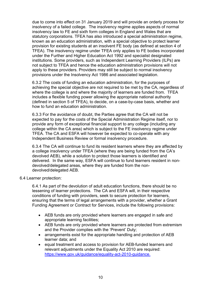due to come into effect on 31 January 2019 and will provide an orderly process for insolvency of a failed college. The insolvency regime applies aspects of normal insolvency law to FE and sixth form colleges in England and Wales that are statutory corporations. TFEA has also introduced a special administration regime, known as an education administration, with a special objective to protect learner provision for existing students at an insolvent FE body (as defined at section 4 of TFEA). The insolvency regime under TFEA only applies to FE bodies incorporated under the Further and Higher Education Act 1992 and specialist designated institutions. Some providers, such as Independent Learning Providers (ILPs) are not subject to TFEA and hence the education administration provisions will not apply to these providers. Providers may still be subject to normal insolvency provisions under the Insolvency Act 1986 and associated legislation.

6.3.2 The costs of funding an education administration, for the purposes of achieving the special objective are not required to be met by the CA, regardless of where the college is and where the majority of learners are funded from. TFEA includes a flexible funding power allowing the appropriate national authority (defined in section 5 of TFEA), to decide, on a case-by-case basis, whether and how to fund an education administration.

6.3.3 For the avoidance of doubt, the Parties agree that the CA will not be expected to pay for the costs of the Special Administration Regime itself, nor to provide any form of exceptional financial support to any college (including any college within the CA area) which is subject to the FE insolvency regime under TFEA. The CA and ESFA will however be expected to co-operate with any Independent Business Review or formal insolvency procedure.

6.3.4 The CA will continue to fund its resident learners where they are affected by a college insolvency under TFEA (where they are being funded from the CA's devolved AEB), while a solution to protect those learners is identified and delivered. In the same way, ESFA will continue to fund learners resident in nondevolved/delegated areas, where they are funded from the nondevolved/delegated AEB.

6.4 Learner protection:

6.4.1 As part of the devolution of adult education functions, there should be no lessening of learner protections. The CA and ESFA will, in their respective conditions of funding with providers, seek to secure protection for learners, ensuring that the terms of legal arrangements with a provider, whether a Grant Funding Agreement or Contract for Services, include the following provisions:

- AEB funds are only provided where learners are engaged in safe and appropriate learning facilities;
- AEB funds are only provided where learners are protected from extremism and the Provider complies with the 'Prevent' Duty;
- arrangements exist for the appropriate handling and protection of AEB learner data; and
- equal treatment and access to provision for AEB-funded learners and relevant adjustments under the Equality Act 2010 are required: [https://www.gov.uk/guidance/equality-act-2010-guidance.](https://www.gov.uk/guidance/equality-act-2010-guidance)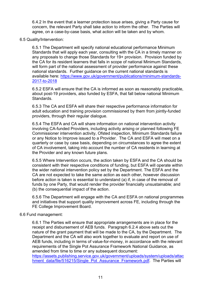6.4.2 In the event that a learner protection issue arises, giving a Party cause for concern, the relevant Party shall take action to inform the other. The Parties will agree, on a case-by-case basis, what action will be taken and by whom.

#### 6.5 Quality/Intervention:

6.5.1 The Department will specify national educational performance Minimum Standards that will apply each year, consulting with the CA in a timely manner on any proposals to change those Standards for 19+ provision. Provision funded by the CA for its resident learners that falls in scope of national Minimum Standards, will form part of the national assessment of provider performance against these national standards. Further guidance on the current national standards is available here: [https://www.gov.uk/government/publications/minimum-standards-](https://www.gov.uk/government/publications/minimum-standards-2017-to-2018)[2017-to-2018](https://www.gov.uk/government/publications/minimum-standards-2017-to-2018)

6.5.2 ESFA will ensure that the CA is informed as soon as reasonably practicable, about post-19 providers, also funded by ESFA, that fall below national Minimum **Standards** 

6.5.3 The CA and ESFA will share their respective performance information for adult education and training provision commissioned by them from jointly-funded providers, through their regular dialogue.

6.5.4 The ESFA and CA will share information on national intervention activity involving CA-funded Providers, including activity arising or planned following FE Commissioner intervention activity, Ofsted inspection, Minimum Standards failure or any Notice to Improve issued to a Provider. The CA and ESFA will meet on a quarterly or case by case basis, depending on circumstances to agree the extent of CA involvement, taking into account the number of CA residents in learning at the Provider and any known future plans.

6.5.5 Where Intervention occurs, the action taken by ESFA and the CA should be consistent with their respective conditions of funding, but ESFA will operate within the wider national intervention policy set by the Department. The ESFA and the CA are not expected to take the same action as each other, however discussion before action is taken is essential to understand (a) if, in case of the removal of funds by one Party, that would render the provider financially unsustainable; and (b) the consequential impact of the action.

6.5.6 The Department will engage with the CA and ESFA on national programmes and initiatives that support quality improvement across FE, including through the FE College Improvement Board.

#### 6.6 Fund management:

6.6.1 The Parties will ensure that appropriate arrangements are in place for the receipt and disbursement of AEB funds. Paragraph 6.2.4 above sets out the nature of the grant payment that will be made to the CA, by the Department. The Department and the CA will also work together to evaluate and report on use of AEB funds, including in terms of value-for-money, in accordance with the relevant requirements of the Single Pot Assurance Framework National Guidance, as amended from time to time or any subsequent document:

[https://assets.publishing.service.gov.uk/government/uploads/system/uploads/attac](https://assets.publishing.service.gov.uk/government/uploads/system/uploads/attachment_data/file/516215/Single_Pot_Assurance_Framework.pdf) hment data/file/516215/Single Pot Assurance Framework.pdf. The Parties will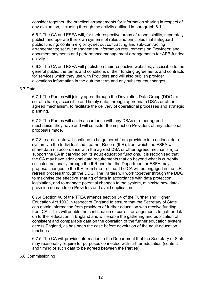consider together, the practical arrangements for information sharing in respect of any evaluation, including through the activity outlined in paragraph 6.1.1.

6.6.2 The CA and ESFA will, for their respective areas of responsibility, separately publish and operate their own systems of rules and principles that safeguard public funding; confirm eligibility; set out contracting and sub-contracting arrangements; set out management information requirements on Providers; and document payments and performance management arrangements for AEB-funded activity.

6.6.3 The CA and ESFA will publish on their respective websites, accessible to the general public, the terms and conditions of their funding agreements and contracts for services which they use with Providers and will also publish provider allocations information in the autumn term and any subsequent changes.

#### 6.7 Data:

6.7.1 The Parties will jointly agree through the Devolution Data Group (DDG), a set of reliable, accessible and timely data, through appropriate DSAs or other agreed mechanism, to facilitate the delivery of operational processes and strategic planning.

6.7.2 The Parties will act in accordance with any DSAs or other agreed mechanism they have and will consider the impact on Providers of any additional proposals made.

6.7.3 Learner data will continue to be gathered from providers in a national data system via the Individualised Learner Record (ILR), from which the ESFA will share data (in accordance with the agreed DSA or other agreed mechanism) to support the CA in carrying out its adult education functions. It is recognised that the CA may have additional data requirements that go beyond what is currently collected nationally through the ILR and that the Department or ESFA may propose changes to the ILR from time-to-time. The CA will be engaged in the ILR refresh process through the DDG. The Parties will work together through the DDG to maximise the effective sharing of data in accordance with data protection legislation, and to manage potential changes to the system, minimise new dataprovision demands on Providers and avoid duplication.

6.7.4 Section 40 of the TFEA amends section 54 of the Further and Higher Education Act 1992 in respect of England to ensure that the Secretary of State can obtain information from providers of further education who receive funding from CAs. This will enable the continuation of current arrangements to gather data on further education in England and will enable the gathering and publication of consistent and comparable data on the operation of the further education system across England, as has been the case before devolution of the adult education functions.

6.7.5 The CA will provide information to the Department that the Secretary of State may reasonably require for purposes connected with further education (content and timing of such data to be agreed between the Parties).

#### 6.8 Commissioning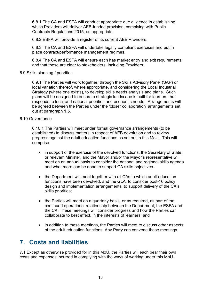6.8.1 The CA and ESFA will conduct appropriate due diligence in establishing which Providers will deliver AEB-funded provision, complying with Public Contracts Regulations 2015, as appropriate.

6.8.2 ESFA will provide a register of its current AEB Providers.

6.8.3 The CA and ESFA will undertake legally compliant exercises and put in place contract/performance management regimes.

6.8.4 The CA and ESFA will ensure each has market entry and exit requirements and that these are clear to stakeholders, including Providers.

#### 6.9 Skills planning / priorities

6.9.1 The Parties will work together, through the Skills Advisory Panel (SAP) or local variation thereof, where appropriate, and considering the Local Industrial Strategy (where one exists), to develop skills needs analysis and plans. Such plans will be designed to ensure a strategic landscape is built for learners that responds to local and national priorities and economic needs. Arrangements will be agreed between the Parties under the 'closer collaboration' arrangements set out at paragraph 1.5.

#### 6.10 Governance

6.10.1 The Parties will meet under formal governance arrangements (to be established) to discuss matters in respect of AEB devolution and to review progress against the adult education functions as set out in this MoU. This will comprise:

- in support of the exercise of the devolved functions, the Secretary of State, or relevant Minister, and the Mayor and/or the Mayor's representative will meet on an annual basis to consider the national and regional skills agenda and what more can be done to support CA skills objectives.
- the Department will meet together with all CAs to which adult education functions have been devolved, and the GLA, to consider post-16 policy design and implementation arrangements, to support delivery of the CA's skills priorities;
- the Parties will meet on a quarterly basis, or as required, as part of the continued operational relationship between the Department, the ESFA and the CA. These meetings will consider progress and how the Parties can collaborate to best effect, in the interests of learners; and
- in addition to these meetings, the Parties will meet to discuss other aspects of the adult education functions. Any Party can convene these meetings.

### <span id="page-12-0"></span>**7. Costs and liabilities**

7.1 Except as otherwise provided for in this MoU, the Parties will each bear their own costs and expenses incurred in complying with the ways of working under this MoU.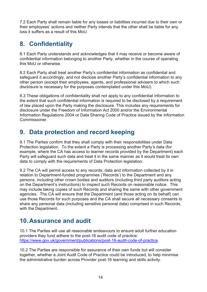7.2 Each Party shall remain liable for any losses or liabilities incurred due to their own or their employees' actions and neither Party intends that the other shall be liable for any loss it suffers as a result of this MoU.

# <span id="page-13-0"></span>**8. Confidentiality**

8.1 Each Party understands and acknowledges that it may receive or become aware of confidential information belonging to another Party, whether in the course of operating this MoU or otherwise.

8.2 Each Party shall treat another Party's confidential information as confidential and safeguard it accordingly, and not disclose another Party's confidential information to any other person (except their employees, agents, and professional advisers to which such disclosure is necessary for the purposes contemplated under this MoU).

8.3 These obligations of confidentiality shall not apply to any confidential information to the extent that such confidential information is required to be disclosed by a requirement of law placed upon the Party making the disclosure. This includes any requirements for disclosure under the Freedom of Information Act 2000 and/or the Environmental Information Regulations 2004 or Data Sharing Code of Practice issued by the Information Commissioner.

# <span id="page-13-1"></span>**9. Data protection and record keeping**

9.1 The Parties confirm that they shall comply with their responsibilities under Data Protection legislation. To the extent a Party is processing another Party's data (for example, where the CA has access to learner records provided by the Department) each Party will safeguard such data and treat it in the same manner as it would treat its own data to comply with the requirements of Data Protection legislation.

9.2 The CA will permit access to any records, data and information collected by it in relation to Department-funded programmes ('Records') to the Department and any persons, including other crown bodies and auditors (including third party auditors acting on the Department's instructions) to inspect such Records on reasonable notice. This may include taking copies of such Records and sharing the same with other government agencies. The CA will ensure that the Department (and those acting on its behalf) can use those Records for such purposes and the CA shall secure all necessary consents to share any personal data (including sensitive personal data) comprised in such Records, with the Department.

# <span id="page-13-2"></span>**10.Assurance and audit**

10.1 The Parties will use all reasonable endeavours to ensure adult further education providers they fund adhere to the post-16 audit code of practice: [https://www.gov.uk/government/publications/post-16-audit-code-of-practice.](https://www.gov.uk/government/publications/post-16-audit-code-of-practice)

10.2 The Parties are responsible for assurance of their own funds but will consider together, whether a Joint Audit Code of Practice could be introduced, to help minimise the administrative burden across Provider post-16 learning and skills activity.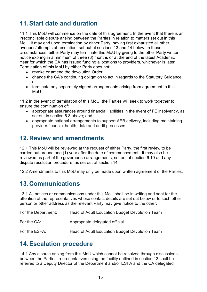# <span id="page-14-0"></span>**11.Start date and duration**

11.1 This MoU will commence on the date of this agreement. In the event that there is an irreconcilable dispute arising between the Parties in relation to matters set out in this MoU, it may end upon termination by either Party, having first exhausted all other avenues/attempts at resolution, set out at sections 13 and 14 below. In those circumstances, either Party may terminate this MoU by giving to the other Party written notice expring in a minimum of three (3) months or at the end of the latest Academic Year for which the CA has issued funding allocations to providers, whichever is later. Termination of this MoU by either Party does not:

- revoke or amend the devolution Order:
- change the CA's continuing obligation to act in regards to the Statutory Guidance; or
- terminate any separately signed arrangements arising from agreement to this MoU.

11.2 In the event of termination of this MoU, the Parties will seek to work together to ensure the continuation of:

- appropriate assurances around financial liabilities in the event of FE insolvency, as set out in section 6.3 above; and
- appropriate national arrangements to support AEB delivery, including maintaining provider financial health, data and audit processes*.*

### <span id="page-14-1"></span>**12.Review and amendments**

12.1 This MoU will be reviewed at the request of either Party, the first review to be carried out around one (1) year after the date of commencement. It may also be reviewed as part of the governance arrangements, set out at section 6.10 and any dispute resolution procedure, as set out at section 14.

12.2 Amendments to this MoU may only be made upon written agreement of the Parties.

### <span id="page-14-2"></span>**13.Communications**

13.1 All notices or communications under this MoU shall be in writing and sent for the attention of the representatives whose contact details are set out below or to such other person or other address as the relevant Party may give notice to the other:

| For the Department: | Head of Adult Education Budget Devolution Team |
|---------------------|------------------------------------------------|
| For the CA:         | Appropriate delegated official                 |
| For the ESFA:       | Head of Adult Education Budget Devolution Team |

### <span id="page-14-3"></span>**14.Escalation procedure**

14.1 Any dispute arising from this MoU which cannot be resolved through discussions between the Parties' representatives using the facility outlined in section 13 shall be referred to a Deputy Director of the Department and/or ESFA and the CA delegated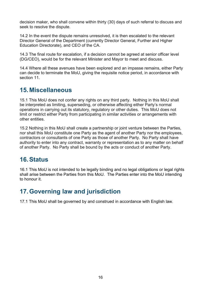decision maker, who shall convene within thirty (30) days of such referral to discuss and seek to resolve the dispute.

14.2 In the event the dispute remains unresolved, it is then escalated to the relevant Director General of the Department (currently Director General, Further and Higher Education Directorate), and CEO of the CA.

14.3 The final route for escalation, if a decision cannot be agreed at senior officer level (DG/CEO), would be for the relevant Minister and Mayor to meet and discuss.

14.4 Where all these avenues have been explored and an impasse remains, either Party can decide to terminate the MoU, giving the requisite notice period, in accordance with section 11.

### <span id="page-15-0"></span>**15.Miscellaneous**

15.1 This MoU does not confer any rights on any third party. Nothing in this MoU shall be interpreted as limiting, superseding, or otherwise affecting either Party's normal operations in carrying out its statutory, regulatory or other duties. This MoU does not limit or restrict either Party from participating in similar activities or arrangements with other entities.

15.2 Nothing in this MoU shall create a partnership or joint venture between the Parties, nor shall this MoU constitute one Party as the agent of another Party nor the employees, contractors or consultants of one Party as those of another Party. No Party shall have authority to enter into any contract, warranty or representation as to any matter on behalf of another Party. No Party shall be bound by the acts or conduct of another Party.

### <span id="page-15-1"></span>**16. Status**

16.1 This MoU is not intended to be legally binding and no legal obligations or legal rights shall arise between the Parties from this MoU. The Parties enter into the MoU intending to honour it.

# <span id="page-15-2"></span>**17.Governing law and jurisdiction**

17.1 This MoU shall be governed by and construed in accordance with English law.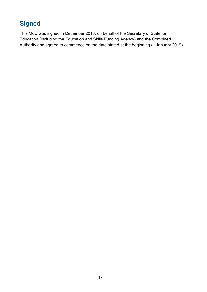# <span id="page-16-0"></span>**Signed**

This MoU was signed in December 2018, on behalf of the Secretary of State for Education (including the Education and Skills Funding Agency) and the Combined Authority and agreed to commence on the date stated at the beginning (1 January 2019).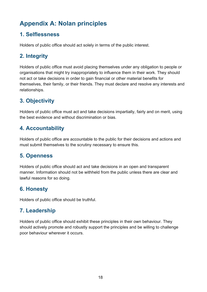# <span id="page-17-0"></span>**Appendix A: Nolan principles**

#### **1. Selflessness**

Holders of public office should act solely in terms of the public interest.

### **2. Integrity**

Holders of public office must avoid placing themselves under any obligation to people or organisations that might try inappropriately to influence them in their work. They should not act or take decisions in order to gain financial or other material benefits for themselves, their family, or their friends. They must declare and resolve any interests and relationships.

### **3. Objectivity**

Holders of public office must act and take decisions impartially, fairly and on merit, using the best evidence and without discrimination or bias.

### **4. Accountability**

Holders of public office are accountable to the public for their decisions and actions and must submit themselves to the scrutiny necessary to ensure this.

### **5. Openness**

Holders of public office should act and take decisions in an open and transparent manner. Information should not be withheld from the public unless there are clear and lawful reasons for so doing.

### **6. Honesty**

Holders of public office should be truthful.

### **7. Leadership**

Holders of public office should exhibit these principles in their own behaviour. They should actively promote and robustly support the principles and be willing to challenge poor behaviour wherever it occurs.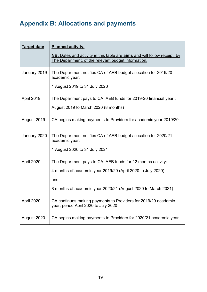# <span id="page-18-0"></span>**Appendix B: Allocations and payments**

| <b>Target date</b> | <b>Planned activity.</b><br><b>NB.</b> Dates and activity in this table are <b>aims</b> and will follow receipt, by<br>The Department, of the relevant budget information.                          |
|--------------------|-----------------------------------------------------------------------------------------------------------------------------------------------------------------------------------------------------|
| January 2019       | The Department notifies CA of AEB budget allocation for 2019/20<br>academic year:<br>1 August 2019 to 31 July 2020                                                                                  |
| April 2019         | The Department pays to CA, AEB funds for 2019-20 financial year :<br>August 2019 to March 2020 (8 months)                                                                                           |
| August 2019        | CA begins making payments to Providers for academic year 2019/20                                                                                                                                    |
| January 2020       | The Department notifies CA of AEB budget allocation for 2020/21<br>academic year:<br>1 August 2020 to 31 July 2021                                                                                  |
| April 2020         | The Department pays to CA, AEB funds for 12 months activity:<br>4 months of academic year 2019/20 (April 2020 to July 2020)<br>and<br>8 months of academic year 2020/21 (August 2020 to March 2021) |
| April 2020         | CA continues making payments to Providers for 2019/20 academic<br>year, period April 2020 to July 2020                                                                                              |
| August 2020        | CA begins making payments to Providers for 2020/21 academic year                                                                                                                                    |